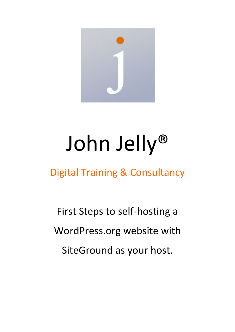

# John Jelly®

Digital Training & Consultancy

First Steps to self-hosting a WordPress.org website with SiteGround as your host.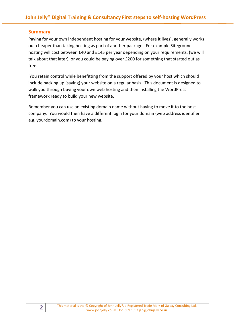# **Summary**

Paying for your own independent hosting for your website, (where it lives), generally works out cheaper than taking hosting as part of another package. For example Siteground hosting will cost between £40 and £145 per year depending on your requirements, (we will talk about that later), or you could be paying over £200 for something that started out as free.

 You retain control while benefitting from the support offered by your host which should include backing up (saving) your website on a regular basis. This document is designed to walk you through buying your own web hosting and then installing the WordPress framework ready to build your new website.

Remember you can use an existing domain name without having to move it to the host company. You would then have a different login for your domain (web address identifier e.g. yourdomain.com) to your hosting.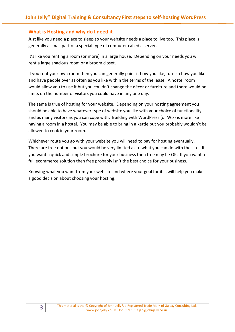## What is Hosting and why do I need it

Just like you need a place to sleep so your website needs a place to live too. This place is generally a small part of a special type of computer called a server.

It's like you renting a room (or more) in a large house. Depending on your needs you will rent a large spacious room or a broom closet.

If you rent your own room then you can generally paint it how you like, furnish how you like and have people over as often as you like within the terms of the lease. A hostel room would allow you to use it but you couldn't change the décor or furniture and there would be limits on the number of visitors you could have in any one day.

The same is true of hosting for your website. Depending on your hosting agreement you should be able to have whatever type of website you like with your choice of functionality and as many visitors as you can cope with. Building with WordPress (or Wix) is more like having a room in a hostel. You may be able to bring in a kettle but you probably wouldn't be allowed to cook in your room.

Whichever route you go with your website you will need to pay for hosting eventually. There are free options but you would be very limited as to what you can do with the site. If you want a quick and simple brochure for your business then free may be OK. If you want a full ecommerce solution then free probably isn't the best choice for your business.

Knowing what you want from your website and where your goal for it is will help you make a good decision about choosing your hosting.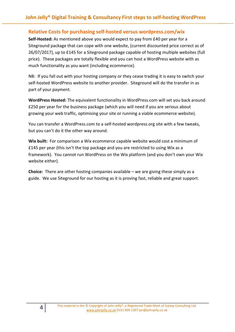# Relative Costs for purchasing self-hosted versus wordpress.com/wix

Self-Hosted: As mentioned above you would expect to pay from £40 per year for a Siteground package that can cope with one website, (current discounted price correct as of 26/07/2017), up to £145 for a Siteground package capable of hosting multiple websites (full price). These packages are totally flexible and you can host a WordPress website with as much functionality as you want (including ecommerce).

NB: If you fall out with your hosting company or they cease trading it is easy to switch your self-hosted WordPress website to another provider. Siteground will do the transfer in as part of your payment.

WordPress Hosted: The equivalent functionality in WordPress.com will set you back around £250 per year for the business package (which you will need if you are serious about growing your web traffic, optimising your site or running a viable ecommerce website).

You can transfer a WordPress.com to a self-hosted wordpress.org site with a few tweaks, but you can't do it the other way around.

Wix built: For comparison a Wix ecommerce capable website would cost a minimum of £145 per year (this isn't the top package and you are restricted to using Wix as a framework). You cannot run WordPress on the Wix platform (and you don't own your Wix website either).

**Choice:** There are other hosting companies available  $-$  we are giving these simply as a guide. We use Siteground for our hosting as it is proving fast, reliable and great support.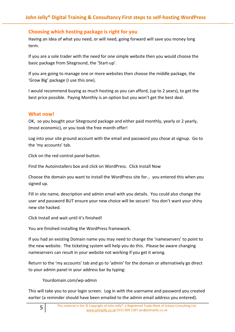# Choosing which hosting package is right for you

Having an idea of what you need, or will need, going forward will save you money long term.

If you are a sole trader with the need for one simple website then you would choose the basic package from Siteground, the 'Start-up'.

If you are going to manage one or more websites then choose the middle package, the 'Grow Big' package (I use this one).

I would recommend buying as much hosting as you can afford, (up to 2 years), to get the best price possible. Paying Monthly is an option but you won't get the best deal.

# What now!

OK, so you bought your Siteground package and either paid monthly, yearly or 2 yearly, (most economic), or you took the free month offer!

Log into your site ground account with the email and password you chose at signup. Go to the 'my accounts' tab.

Click on the red control panel button.

Find the Autoinstallers box and click on WordPress. Click Install Now

Choose the domain you want to install the WordPress site for… you entered this when you signed up.

Fill in site name, description and admin email with you details. You could also change the user and password BUT ensure your new choice will be secure! You don't want your shiny new site hacked.

Click Install and wait until it's finished!

You are finished installing the WordPress framework.

If you had an existing Domain name you may need to change the 'nameservers' to point to the new website. The ticketing system will help you do this. Please be aware changing nameservers can result in your website not working if you get it wrong.

Return to the 'my accounts' tab and go to 'admin' for the domain or alternatively go direct to your admin panel in your address bar by typing:

Yourdomain.com/wp-admin

This will take you to your login screen. Log in with the username and password you created earlier (a reminder should have been emailed to the admin email address you entered).